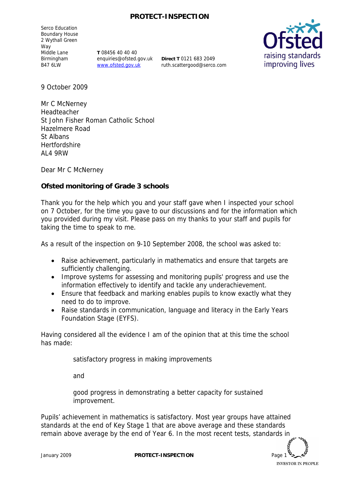## **PROTECT-INSPECTION**

Serco Education Boundary House 2 Wythall Green Way Middle Lane Birmingham B47 6LW

**T** 08456 40 40 40 enquiries@ofsted.gov.uk www.ofsted.gov.uk

**Direct T** 0121 683 2049 ruth.scattergood@serco.com



9 October 2009

Mr C McNerney Headteacher St John Fisher Roman Catholic School Hazelmere Road St Albans Hertfordshire AL4 9RW

Dear Mr C McNerney

**Ofsted monitoring of Grade 3 schools** 

Thank you for the help which you and your staff gave when I inspected your school on 7 October, for the time you gave to our discussions and for the information which you provided during my visit. Please pass on my thanks to your staff and pupils for taking the time to speak to me.

As a result of the inspection on 9-10 September 2008, the school was asked to:

- Raise achievement, particularly in mathematics and ensure that targets are sufficiently challenging.
- Improve systems for assessing and monitoring pupils' progress and use the information effectively to identify and tackle any underachievement.
- Ensure that feedback and marking enables pupils to know exactly what they need to do to improve.
- Raise standards in communication, language and literacy in the Early Years Foundation Stage (EYFS).

Having considered all the evidence I am of the opinion that at this time the school has made:

satisfactory progress in making improvements

and

good progress in demonstrating a better capacity for sustained improvement.

Pupils' achievement in mathematics is satisfactory. Most year groups have attained standards at the end of Key Stage 1 that are above average and these standards remain above average by the end of Year 6. In the most recent tests, standards in

**INVESTOR IN PEOPLE** 

January 2009 **PROTECT-INSPECTION** Page 1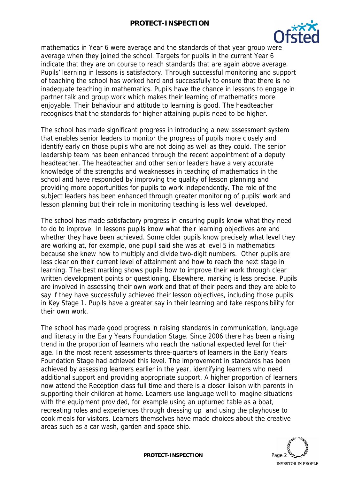

mathematics in Year 6 were average and the standards of that year group were average when they joined the school. Targets for pupils in the current Year 6 indicate that they are on course to reach standards that are again above average. Pupils' learning in lessons is satisfactory. Through successful monitoring and support of teaching the school has worked hard and successfully to ensure that there is no inadequate teaching in mathematics. Pupils have the chance in lessons to engage in partner talk and group work which makes their learning of mathematics more enjoyable. Their behaviour and attitude to learning is good. The headteacher recognises that the standards for higher attaining pupils need to be higher.

The school has made significant progress in introducing a new assessment system that enables senior leaders to monitor the progress of pupils more closely and identify early on those pupils who are not doing as well as they could. The senior leadership team has been enhanced through the recent appointment of a deputy headteacher. The headteacher and other senior leaders have a very accurate knowledge of the strengths and weaknesses in teaching of mathematics in the school and have responded by improving the quality of lesson planning and providing more opportunities for pupils to work independently. The role of the subject leaders has been enhanced through greater monitoring of pupils' work and lesson planning but their role in monitoring teaching is less well developed.

The school has made satisfactory progress in ensuring pupils know what they need to do to improve. In lessons pupils know what their learning objectives are and whether they have been achieved. Some older pupils know precisely what level they are working at, for example, one pupil said she was at level 5 in mathematics because she knew how to multiply and divide two-digit numbers. Other pupils are less clear on their current level of attainment and how to reach the next stage in learning. The best marking shows pupils how to improve their work through clear written development points or questioning. Elsewhere, marking is less precise. Pupils are involved in assessing their own work and that of their peers and they are able to say if they have successfully achieved their lesson objectives, including those pupils in Key Stage 1. Pupils have a greater say in their learning and take responsibility for their own work.

The school has made good progress in raising standards in communication, language and literacy in the Early Years Foundation Stage. Since 2006 there has been a rising trend in the proportion of learners who reach the national expected level for their age. In the most recent assessments three-quarters of learners in the Early Years Foundation Stage had achieved this level. The improvement in standards has been achieved by assessing learners earlier in the year, identifying learners who need additional support and providing appropriate support. A higher proportion of learners now attend the Reception class full time and there is a closer liaison with parents in supporting their children at home. Learners use language well to imagine situations with the equipment provided, for example using an upturned table as a boat, recreating roles and experiences through dressing up and using the playhouse to cook meals for visitors. Learners themselves have made choices about the creative areas such as a car wash, garden and space ship.